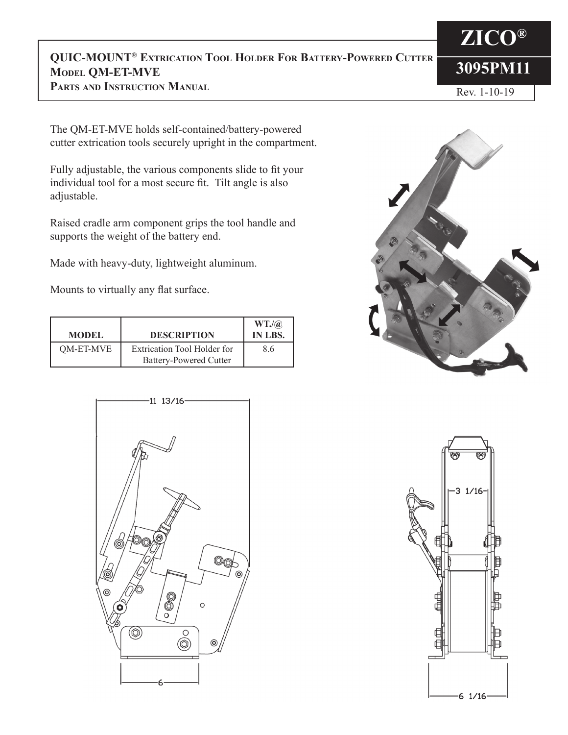#### **3095PM11 QUIC-MOUNT® Extrication Tool Holder For Battery-Powered Cutter Model QM-ET-MVE**

**Parts and Instruction Manual**

#### Rev. 1-10-19

**ZICO®**

The QM-ET-MVE holds self-contained/battery-powered cutter extrication tools securely upright in the compartment.

Fully adjustable, the various components slide to fit your individual tool for a most secure fit. Tilt angle is also adjustable.

Raised cradle arm component grips the tool handle and supports the weight of the battery end.

Made with heavy-duty, lightweight aluminum.

Mounts to virtually any flat surface.

| <b>MODEL</b> | <b>DESCRIPTION</b>                                                  | $WT.$ / $@$<br><b>IN LBS.</b> |
|--------------|---------------------------------------------------------------------|-------------------------------|
| QM-ET-MVE    | <b>Extrication Tool Holder for</b><br><b>Battery-Powered Cutter</b> | 8.6                           |





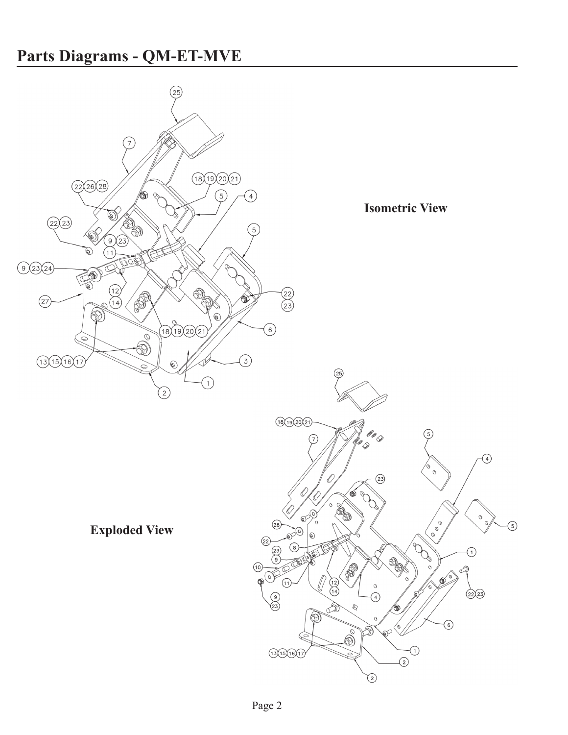## **Parts Diagrams - QM-ET-MVE**

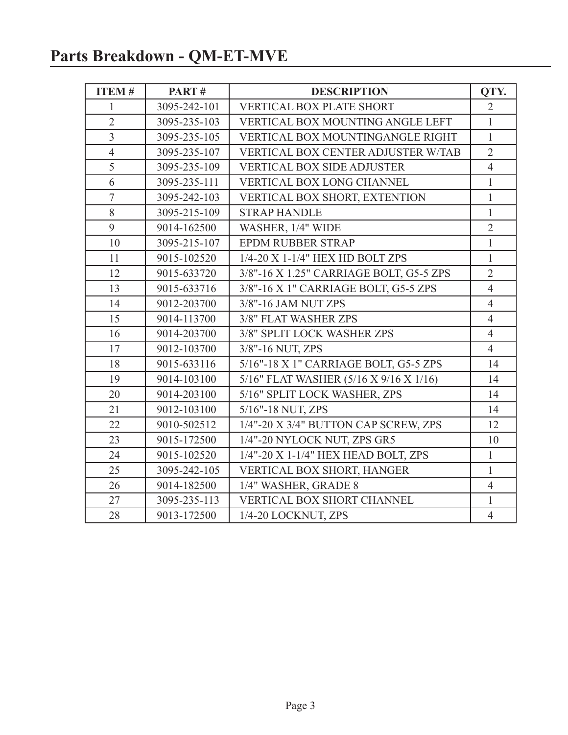# **Parts Breakdown - QM-ET-MVE**

| <b>ITEM#</b>   | PART#        | <b>DESCRIPTION</b>                      | QTY.           |
|----------------|--------------|-----------------------------------------|----------------|
| 1              | 3095-242-101 | <b>VERTICAL BOX PLATE SHORT</b>         | $\overline{2}$ |
| $\overline{2}$ | 3095-235-103 | VERTICAL BOX MOUNTING ANGLE LEFT        | $\mathbf{1}$   |
| $\overline{3}$ | 3095-235-105 | VERTICAL BOX MOUNTINGANGLE RIGHT        | $\mathbf{1}$   |
| $\overline{4}$ | 3095-235-107 | VERTICAL BOX CENTER ADJUSTER W/TAB      | $\overline{2}$ |
| 5              | 3095-235-109 | <b>VERTICAL BOX SIDE ADJUSTER</b>       | $\overline{4}$ |
| 6              | 3095-235-111 | <b>VERTICAL BOX LONG CHANNEL</b>        | $\mathbf{1}$   |
| $\overline{7}$ | 3095-242-103 | VERTICAL BOX SHORT, EXTENTION           | $\mathbf{1}$   |
| 8              | 3095-215-109 | <b>STRAP HANDLE</b>                     | $\mathbf{1}$   |
| 9              | 9014-162500  | WASHER, 1/4" WIDE                       | $\overline{2}$ |
| 10             | 3095-215-107 | <b>EPDM RUBBER STRAP</b>                | $\mathbf{1}$   |
| 11             | 9015-102520  | 1/4-20 X 1-1/4" HEX HD BOLT ZPS         | $\mathbf{1}$   |
| 12             | 9015-633720  | 3/8"-16 X 1.25" CARRIAGE BOLT, G5-5 ZPS | $\overline{2}$ |
| 13             | 9015-633716  | 3/8"-16 X 1" CARRIAGE BOLT, G5-5 ZPS    | $\overline{4}$ |
| 14             | 9012-203700  | 3/8"-16 JAM NUT ZPS                     | $\overline{4}$ |
| 15             | 9014-113700  | 3/8" FLAT WASHER ZPS                    | $\overline{4}$ |
| 16             | 9014-203700  | 3/8" SPLIT LOCK WASHER ZPS              | $\overline{4}$ |
| 17             | 9012-103700  | 3/8"-16 NUT, ZPS                        | $\overline{4}$ |
| 18             | 9015-633116  | 5/16"-18 X 1" CARRIAGE BOLT, G5-5 ZPS   | 14             |
| 19             | 9014-103100  | 5/16" FLAT WASHER (5/16 X 9/16 X 1/16)  | 14             |
| 20             | 9014-203100  | 5/16" SPLIT LOCK WASHER, ZPS            | 14             |
| 21             | 9012-103100  | 5/16"-18 NUT, ZPS                       | 14             |
| 22             | 9010-502512  | 1/4"-20 X 3/4" BUTTON CAP SCREW, ZPS    | 12             |
| 23             | 9015-172500  | 1/4"-20 NYLOCK NUT, ZPS GR5             | 10             |
| 24             | 9015-102520  | 1/4"-20 X 1-1/4" HEX HEAD BOLT, ZPS     | $\mathbf{1}$   |
| 25             | 3095-242-105 | VERTICAL BOX SHORT, HANGER              | $\mathbf{1}$   |
| 26             | 9014-182500  | 1/4" WASHER, GRADE 8                    | $\overline{4}$ |
| 27             | 3095-235-113 | <b>VERTICAL BOX SHORT CHANNEL</b>       | $\mathbf{1}$   |
| 28             | 9013-172500  | 1/4-20 LOCKNUT, ZPS                     | $\overline{4}$ |